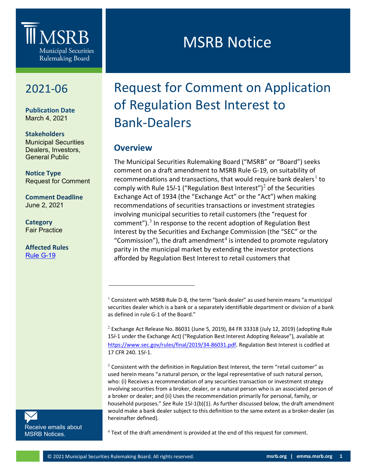

## 2021-06

**Publication Date** March 4, 2021

**Stakeholders** Municipal Securities Dealers, Investors, General Public

**Notice Type** Request for Comment

**Comment Deadline** June 2, 2021

**Category** Fair Practice

<span id="page-0-1"></span><span id="page-0-0"></span>**Affected Rules** [Rule G-19](http://www.msrb.org/Rules-and-Interpretations/MSRB-Rules/General/Rule-G-19.aspx)

MSRB Notice

# Request for Comment on Application of Regulation Best Interest to Bank-Dealers

## **Overview**

The Municipal Securities Rulemaking Board ("MSRB" or "Board") seeks comment on a draft amendment to MSRB Rule G-19, on suitability of recommendations and transactions, that would require bank dealers<sup>[1](#page-0-0)</sup> to comply with Rule 15/-1 ("Regulation Best Interest")<sup>[2](#page-0-1)</sup> of the Securities Exchange Act of 1934 (the "Exchange Act" or the "Act") when making recommendations of securities transactions or investment strategies involving municipal securities to retail customers (the "request for comment"). $3$  In response to the recent adoption of Regulation Best Interest by the Securities and Exchange Commission (the "SEC" or the "Commission"), the draft amendment<sup>[4](#page-0-3)</sup> is intended to promote regulatory parity in the municipal market by extending the investor protections afforded by Regulation Best Interest to retail customers that

 $3$  Consistent with the definition in Regulation Best Interest, the term "retail customer" as used herein means "a natural person, or the legal representative of such natural person, who: (i) Receives a recommendation of any securities transaction or investment strategy involving securities from a broker, dealer, or a natural person who is an associated person of a broker or dealer; and (ii) Uses the recommendation primarily for personal, family, or household purposes." *See* Rule 15*l*-1(b)(1). As further discussed below, the draft amendment would make a bank dealer subject to this definition to the same extent as a broker-dealer (as hereinafter defined).

<span id="page-0-3"></span><span id="page-0-2"></span>[Receive emails about](https://public.govdelivery.com/accounts/VAORGMSRB/subscriber/new?topic_id=VAORGMSRB_9)  [MSRB Notices.](https://public.govdelivery.com/accounts/VAORGMSRB/subscriber/new?topic_id=VAORGMSRB_9)

 $4$  Text of the draft amendment is provided at the end of this request for comment.

<sup>&</sup>lt;sup>1</sup> Consistent with MSRB Rule D-8, the term "bank dealer" as used herein means "a municipal securities dealer which is a bank or a separately identifiable department or division of a bank as defined in rule G-1 of the Board."

 $2$  Exchange Act Release No. 86031 (June 5, 2019), 84 FR 33318 (July 12, 2019) (adopting Rule 15*l*-1 under the Exchange Act) ("Regulation Best Interest Adopting Release"), available at [https://www.sec.gov/rules/final/2019/34-86031.pdf.](https://www.sec.gov/rules/final/2019/34-86031.pdf) Regulation Best Interest is codified at 17 CFR 240. 15*l*-1.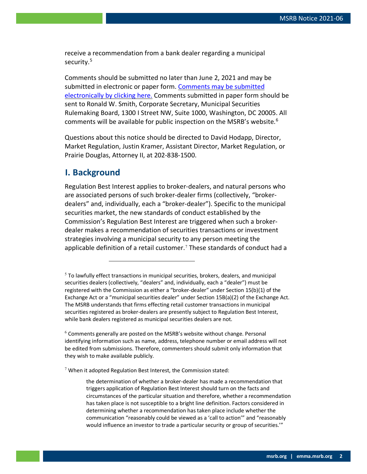receive a recommendation from a bank dealer regarding a municipal security.<sup>[5](#page-1-0)</sup>

Comments should be submitted no later than June 2, 2021 and may be submitted in electronic or paper form. [Comments may be submitted](http://www.msrb.org/Comment.aspx?notice=2021-06)  [electronically by clicking here.](http://www.msrb.org/Comment.aspx?notice=2021-06) Comments submitted in paper form should be sent to Ronald W. Smith, Corporate Secretary, Municipal Securities Rulemaking Board, 1300 I Street NW, Suite 1000, Washington, DC 20005. All comments will be available for public inspection on the MSRB's website. $6$ 

Questions about this notice should be directed to David Hodapp, Director, Market Regulation, Justin Kramer, Assistant Director, Market Regulation, or Prairie Douglas, Attorney II, at 202-838-1500.

### **I. Background**

Regulation Best Interest applies to broker-dealers, and natural persons who are associated persons of such broker-dealer firms (collectively, "brokerdealers" and, individually, each a "broker-dealer"). Specific to the municipal securities market, the new standards of conduct established by the Commission's Regulation Best Interest are triggered when such a brokerdealer makes a recommendation of securities transactions or investment strategies involving a municipal security to any person meeting the applicable definition of a retail customer.[7](#page-1-2) These standards of conduct had a

<span id="page-1-2"></span> $7$  When it adopted Regulation Best Interest, the Commission stated:

<span id="page-1-0"></span> $<sup>5</sup>$  To lawfully effect transactions in municipal securities, brokers, dealers, and municipal</sup> securities dealers (collectively, "dealers" and, individually, each a "dealer") must be registered with the Commission as either a "broker-dealer" under Section 15(b)(1) of the Exchange Act or a "municipal securities dealer" under Section 15B(a)(2) of the Exchange Act. The MSRB understands that firms effecting retail customer transactions in municipal securities registered as broker-dealers are presently subject to Regulation Best Interest, while bank dealers registered as municipal securities dealers are not.

<span id="page-1-1"></span> $6$  Comments generally are posted on the MSRB's website without change. Personal identifying information such as name, address, telephone number or email address will not be edited from submissions. Therefore, commenters should submit only information that they wish to make available publicly.

the determination of whether a broker-dealer has made a recommendation that triggers application of Regulation Best Interest should turn on the facts and circumstances of the particular situation and therefore, whether a recommendation has taken place is not susceptible to a bright line definition. Factors considered in determining whether a recommendation has taken place include whether the communication "reasonably could be viewed as a 'call to action'" and "reasonably would influence an investor to trade a particular security or group of securities.'"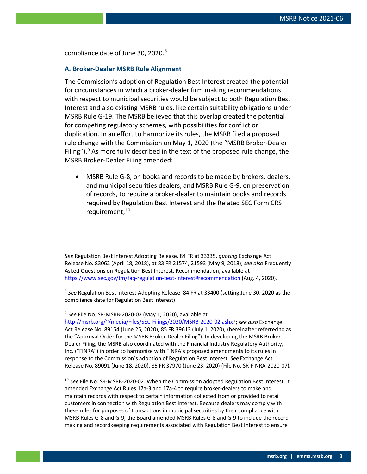compliance date of June 30, 2020. $8$ 

#### **A. Broker-Dealer MSRB Rule Alignment**

The Commission's adoption of Regulation Best Interest created the potential for circumstances in which a broker-dealer firm making recommendations with respect to municipal securities would be subject to both Regulation Best Interest and also existing MSRB rules, like certain suitability obligations under MSRB Rule G-19. The MSRB believed that this overlap created the potential for competing regulatory schemes, with possibilities for conflict or duplication. In an effort to harmonize its rules, the MSRB filed a proposed rule change with the Commission on May 1, 2020 (the "MSRB Broker-Dealer Filing"). $9$  As more fully described in the text of the proposed rule change, the MSRB Broker-Dealer Filing amended:

• MSRB Rule G-8, on books and records to be made by brokers, dealers, and municipal securities dealers, and MSRB Rule G-9, on preservation of records, to require a broker-dealer to maintain books and records required by Regulation Best Interest and the Related SEC Form CRS requirement:<sup>[10](#page-2-2)</sup>

*See* Regulation Best Interest Adopting Release, 84 FR at 33335, *quoting* Exchange Act Release No. 83062 (April 18, 2018), at 83 FR 21574, 21593 (May 9, 2018); *see also* Frequently Asked Questions on Regulation Best Interest, Recommendation, available at <https://www.sec.gov/tm/faq-regulation-best-interest#recommendation> (Aug. 4, 2020).

<span id="page-2-1"></span><sup>9</sup> *See* File No. SR-MSRB-2020-02 (May 1, 2020), available at

[http://msrb.org/~/media/Files/SEC-Filings/2020/MSRB-2020-02.ashx?](http://msrb.org/%7E/media/Files/SEC-Filings/2020/MSRB-2020-02.ashx); s*ee also* Exchange Act Release No. 89154 (June 25, 2020), 85 FR 39613 (July 1, 2020), (hereinafter referred to as the "Approval Order for the MSRB Broker-Dealer Filing"). In developing the MSRB Broker-Dealer Filing, the MSRB also coordinated with the Financial Industry Regulatory Authority, Inc. ("FINRA") in order to harmonize with FINRA's proposed amendments to its rules in response to the Commission's adoption of Regulation Best Interest. *See* Exchange Act Release No. 89091 (June 18, 2020), 85 FR 37970 (June 23, 2020) (File No. SR-FINRA-2020-07).

<span id="page-2-2"></span><sup>10</sup> See File No. SR-MSRB-2020-02. When the Commission adopted Regulation Best Interest, it amended Exchange Act Rules 17a-3 and 17a-4 to require broker-dealers to make and maintain records with respect to certain information collected from or provided to retail customers in connection with Regulation Best Interest. Because dealers may comply with these rules for purposes of transactions in municipal securities by their compliance with MSRB Rules G-8 and G-9, the Board amended MSRB Rules G-8 and G-9 to include the record making and recordkeeping requirements associated with Regulation Best Interest to ensure

<span id="page-2-0"></span><sup>8</sup> *See* Regulation Best Interest Adopting Release, 84 FR at 33400 (setting June 30, 2020 as the compliance date for Regulation Best Interest).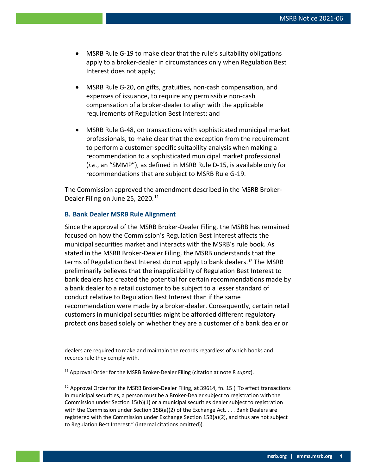- MSRB Rule G-19 to make clear that the rule's suitability obligations apply to a broker-dealer in circumstances only when Regulation Best Interest does not apply;
- MSRB Rule G-20, on gifts, gratuities, non-cash compensation, and expenses of issuance, to require any permissible non-cash compensation of a broker-dealer to align with the applicable requirements of Regulation Best Interest; and
- MSRB Rule G-48, on transactions with sophisticated municipal market professionals, to make clear that the exception from the requirement to perform a customer-specific suitability analysis when making a recommendation to a sophisticated municipal market professional (*i.e.*, an "SMMP"), as defined in MSRB Rule D-15, is available only for recommendations that are subject to MSRB Rule G-19.

The Commission approved the amendment described in the MSRB Broker-Dealer Filing on June 25, 2020.<sup>[11](#page-3-0)</sup>

#### **B. Bank Dealer MSRB Rule Alignment**

Since the approval of the MSRB Broker-Dealer Filing, the MSRB has remained focused on how the Commission's Regulation Best Interest affects the municipal securities market and interacts with the MSRB's rule book. As stated in the MSRB Broker-Dealer Filing, the MSRB understands that the terms of Regulation Best Interest do not apply to bank dealers.[12](#page-3-1) The MSRB preliminarily believes that the inapplicability of Regulation Best Interest to bank dealers has created the potential for certain recommendations made by a bank dealer to a retail customer to be subject to a lesser standard of conduct relative to Regulation Best Interest than if the same recommendation were made by a broker-dealer. Consequently, certain retail customers in municipal securities might be afforded different regulatory protections based solely on whether they are a customer of a bank dealer or

dealers are required to make and maintain the records regardless of which books and records rule they comply with.

<span id="page-3-0"></span><sup>&</sup>lt;sup>11</sup> Approval Order for the MSRB Broker-Dealer Filing (citation at note 8 *supra*).

<span id="page-3-1"></span> $12$  Approval Order for the MSRB Broker-Dealer Filing, at 39614, fn. 15 ("To effect transactions in municipal securities, a person must be a Broker-Dealer subject to registration with the Commission under Section 15(b)(1) or a municipal securities dealer subject to registration with the Commission under Section 15B(a)(2) of the Exchange Act. . . . Bank Dealers are registered with the Commission under Exchange Section 15B(a)(2), and thus are not subject to Regulation Best Interest." (internal citations omitted)).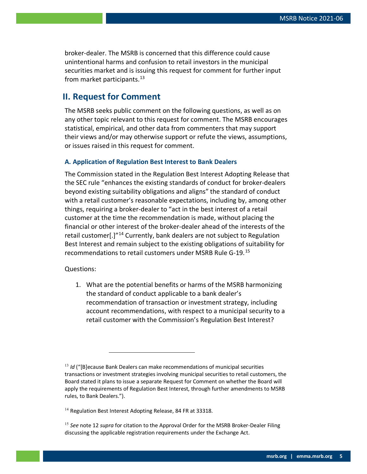broker-dealer. The MSRB is concerned that this difference could cause unintentional harms and confusion to retail investors in the municipal securities market and is issuing this request for comment for further input from market participants.<sup>[13](#page-4-0)</sup>

## **II. Request for Comment**

The MSRB seeks public comment on the following questions, as well as on any other topic relevant to this request for comment. The MSRB encourages statistical, empirical, and other data from commenters that may support their views and/or may otherwise support or refute the views, assumptions, or issues raised in this request for comment.

#### **A. Application of Regulation Best Interest to Bank Dealers**

The Commission stated in the Regulation Best Interest Adopting Release that the SEC rule "enhances the existing standards of conduct for broker-dealers beyond existing suitability obligations and aligns" the standard of conduct with a retail customer's reasonable expectations, including by, among other things, requiring a broker-dealer to "act in the best interest of a retail customer at the time the recommendation is made, without placing the financial or other interest of the broker-dealer ahead of the interests of the retail customer[.]"[14](#page-4-1) Currently, bank dealers are not subject to Regulation Best Interest and remain subject to the existing obligations of suitability for recommendations to retail customers under MSRB Rule G-19.[15](#page-4-2)

Questions:

1. What are the potential benefits or harms of the MSRB harmonizing the standard of conduct applicable to a bank dealer's recommendation of transaction or investment strategy, including account recommendations, with respect to a municipal security to a retail customer with the Commission's Regulation Best Interest?

<span id="page-4-0"></span><sup>&</sup>lt;sup>13</sup> *Id* ("[B]ecause Bank Dealers can make recommendations of municipal securities transactions or investment strategies involving municipal securities to retail customers, the Board stated it plans to issue a separate Request for Comment on whether the Board will apply the requirements of Regulation Best Interest, through further amendments to MSRB rules, to Bank Dealers.").

<span id="page-4-1"></span><sup>&</sup>lt;sup>14</sup> Regulation Best Interest Adopting Release, 84 FR at 33318.

<span id="page-4-2"></span><sup>15</sup> *See* note 12 *supra* for citation to the Approval Order for the MSRB Broker-Dealer Filing discussing the applicable registration requirements under the Exchange Act.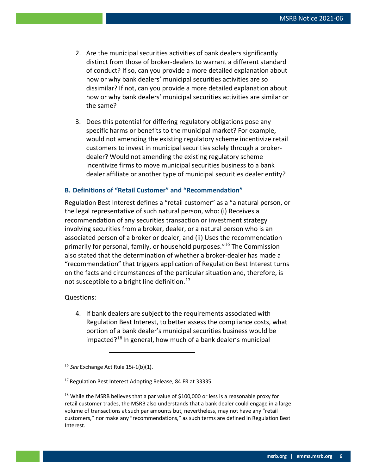- 2. Are the municipal securities activities of bank dealers significantly distinct from those of broker-dealers to warrant a different standard of conduct? If so, can you provide a more detailed explanation about how or why bank dealers' municipal securities activities are so dissimilar? If not, can you provide a more detailed explanation about how or why bank dealers' municipal securities activities are similar or the same?
- 3. Does this potential for differing regulatory obligations pose any specific harms or benefits to the municipal market? For example, would not amending the existing regulatory scheme incentivize retail customers to invest in municipal securities solely through a brokerdealer? Would not amending the existing regulatory scheme incentivize firms to move municipal securities business to a bank dealer affiliate or another type of municipal securities dealer entity?

#### **B. Definitions of "Retail Customer" and "Recommendation"**

Regulation Best Interest defines a "retail customer" as a "a natural person, or the legal representative of such natural person, who: (i) Receives a recommendation of any securities transaction or investment strategy involving securities from a broker, dealer, or a natural person who is an associated person of a broker or dealer; and (ii) Uses the recommendation primarily for personal, family, or household purposes."<sup>[16](#page-5-0)</sup> The Commission also stated that the determination of whether a broker-dealer has made a "recommendation" that triggers application of Regulation Best Interest turns on the facts and circumstances of the particular situation and, therefore, is not susceptible to a bright line definition. [17](#page-5-1)

Questions:

4. If bank dealers are subject to the requirements associated with Regulation Best Interest, to better assess the compliance costs, what portion of a bank dealer's municipal securities business would be impacted?[18](#page-5-2) In general, how much of a bank dealer's municipal

<span id="page-5-0"></span><sup>16</sup> *See* Exchange Act Rule 15*l*-1(b)(1).

<span id="page-5-1"></span><sup>&</sup>lt;sup>17</sup> Regulation Best Interest Adopting Release, 84 FR at 33335.

<span id="page-5-2"></span> $18$  While the MSRB believes that a par value of \$100,000 or less is a reasonable proxy for retail customer trades, the MSRB also understands that a bank dealer could engage in a large volume of transactions at such par amounts but, nevertheless, may not have any "retail customers," nor make any "recommendations," as such terms are defined in Regulation Best Interest.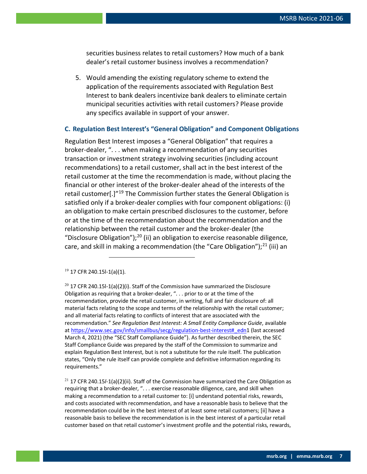securities business relates to retail customers? How much of a bank dealer's retail customer business involves a recommendation?

5. Would amending the existing regulatory scheme to extend the application of the requirements associated with Regulation Best Interest to bank dealers incentivize bank dealers to eliminate certain municipal securities activities with retail customers? Please provide any specifics available in support of your answer.

#### **C. Regulation Best Interest's "General Obligation" and Component Obligations**

Regulation Best Interest imposes a "General Obligation" that requires a broker-dealer, ". . . when making a recommendation of any securities transaction or investment strategy involving securities (including account recommendations) to a retail customer, shall act in the best interest of the retail customer at the time the recommendation is made, without placing the financial or other interest of the broker-dealer ahead of the interests of the retail customer<sup>[1]</sup><sup>[19](#page-6-0)</sup> The Commission further states the General Obligation is satisfied only if a broker-dealer complies with four component obligations: (i) an obligation to make certain prescribed disclosures to the customer, before or at the time of the recommendation about the recommendation and the relationship between the retail customer and the broker-dealer (the "Disclosure Obligation");<sup>[20](#page-6-1)</sup> (ii) an obligation to exercise reasonable diligence, care, and skill in making a recommendation (the "Care Obligation");<sup>[21](#page-6-2)</sup> (iii) an

<span id="page-6-0"></span> $19$  17 CFR 240.15l-1(a)(1).

<span id="page-6-1"></span> $20$  17 CFR 240.15l-1(a)(2)(i). Staff of the Commission have summarized the Disclosure Obligation as requiring that a broker-dealer, ". . . prior to or at the time of the recommendation, provide the retail customer, in writing, full and fair disclosure of: all material facts relating to the scope and terms of the relationship with the retail customer; and all material facts relating to conflicts of interest that are associated with the recommendation." *See Regulation Best Interest: A Small Entity Compliance Guide*, available at [https://www.sec.gov/info/smallbus/secg/regulation-best-interest#\\_edn1](https://www.sec.gov/info/smallbus/secg/regulation-best-interest#_edn) (last accessed March 4, 2021) (the "SEC Staff Compliance Guide"). As further described therein, the SEC Staff Compliance Guide was prepared by the staff of the Commission to summarize and explain Regulation Best Interest, but is not a substitute for the rule itself. The publication states, "Only the rule itself can provide complete and definitive information regarding its requirements."

<span id="page-6-2"></span><sup>21</sup> 17 CFR 240.15*l*-1(a)(2)(ii). Staff of the Commission have summarized the Care Obligation as requiring that a broker-dealer, ". . . exercise reasonable diligence, care, and skill when making a recommendation to a retail customer to: [i] understand potential risks, rewards, and costs associated with recommendation, and have a reasonable basis to believe that the recommendation could be in the best interest of at least some retail customers; [ii] have a reasonable basis to believe the recommendation is in the best interest of a particular retail customer based on that retail customer's investment profile and the potential risks, rewards,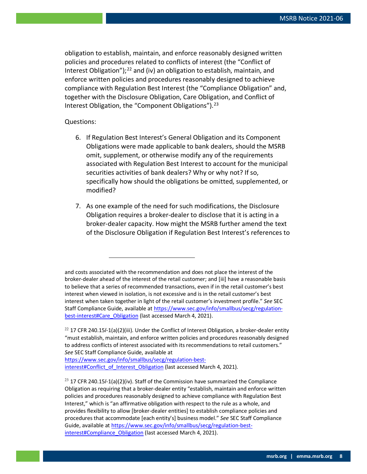obligation to establish, maintain, and enforce reasonably designed written policies and procedures related to conflicts of interest (the "Conflict of Interest Obligation");<sup>[22](#page-7-0)</sup> and (iv) an obligation to establish, maintain, and enforce written policies and procedures reasonably designed to achieve compliance with Regulation Best Interest (the "Compliance Obligation" and, together with the Disclosure Obligation, Care Obligation, and Conflict of Interest Obligation, the "Component Obligations").<sup>[23](#page-7-1)</sup>

#### Questions:

- 6. If Regulation Best Interest's General Obligation and its Component Obligations were made applicable to bank dealers, should the MSRB omit, supplement, or otherwise modify any of the requirements associated with Regulation Best Interest to account for the municipal securities activities of bank dealers? Why or why not? If so, specifically how should the obligations be omitted, supplemented, or modified?
- 7. As one example of the need for such modifications, the Disclosure Obligation requires a broker-dealer to disclose that it is acting in a broker-dealer capacity. How might the MSRB further amend the text of the Disclosure Obligation if Regulation Best Interest's references to

and costs associated with the recommendation and does not place the interest of the broker-dealer ahead of the interest of the retail customer; and [iii] have a reasonable basis to believe that a series of recommended transactions, even if in the retail customer's best interest when viewed in isolation, is not excessive and is in the retail customer's best interest when taken together in light of the retail customer's investment profile." *See* SEC Staff Compliance Guide, available a[t https://www.sec.gov/info/smallbus/secg/regulation](https://www.sec.gov/info/smallbus/secg/regulation-best-interest#Care_Obligation)[best-interest#Care\\_Obligation](https://www.sec.gov/info/smallbus/secg/regulation-best-interest#Care_Obligation) (last accessed March 4, 2021).

<span id="page-7-0"></span><sup>22</sup> 17 CFR 240.15*l*-1(a)(2)(iii). Under the Conflict of Interest Obligation, a broker-dealer entity "must establish, maintain, and enforce written policies and procedures reasonably designed to address conflicts of interest associated with its recommendations to retail customers." *See* SEC Staff Compliance Guide, available at

[https://www.sec.gov/info/smallbus/secg/regulation-best](https://www.sec.gov/info/smallbus/secg/regulation-best-interest#Conflict_of_Interest_Obligation)[interest#Conflict\\_of\\_Interest\\_Obligation](https://www.sec.gov/info/smallbus/secg/regulation-best-interest#Conflict_of_Interest_Obligation) (last accessed March 4, 2021).

<span id="page-7-1"></span><sup>23</sup> 17 CFR 240.15*l*-1(a)(2)(iv). Staff of the Commission have summarized the Compliance Obligation as requiring that a broker-dealer entity "establish, maintain and enforce written policies and procedures reasonably designed to achieve compliance with Regulation Best Interest," which is "an affirmative obligation with respect to the rule as a whole, and provides flexibility to allow [broker-dealer entities] to establish compliance policies and procedures that accommodate [each entity's] business model." *See* SEC Staff Compliance Guide, available a[t https://www.sec.gov/info/smallbus/secg/regulation-best](https://www.sec.gov/info/smallbus/secg/regulation-best-interest#Compliance_Obligation)interest#Compliance Obligation (last accessed March 4, 2021).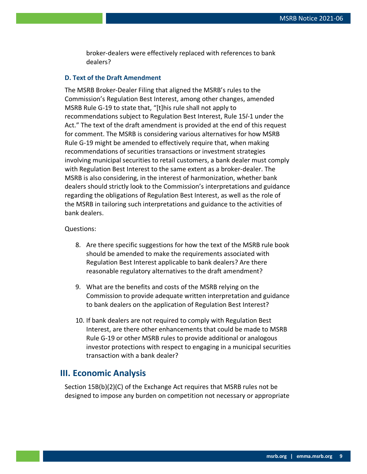broker-dealers were effectively replaced with references to bank dealers?

#### **D. Text of the Draft Amendment**

The MSRB Broker-Dealer Filing that aligned the MSRB's rules to the Commission's Regulation Best Interest, among other changes, amended MSRB Rule G-19 to state that, "[t]his rule shall not apply to recommendations subject to Regulation Best Interest, Rule 15*l*-1 under the Act." The text of the draft amendment is provided at the end of this request for comment. The MSRB is considering various alternatives for how MSRB Rule G-19 might be amended to effectively require that, when making recommendations of securities transactions or investment strategies involving municipal securities to retail customers, a bank dealer must comply with Regulation Best Interest to the same extent as a broker-dealer. The MSRB is also considering, in the interest of harmonization, whether bank dealers should strictly look to the Commission's interpretations and guidance regarding the obligations of Regulation Best Interest, as well as the role of the MSRB in tailoring such interpretations and guidance to the activities of bank dealers.

#### Questions:

- 8. Are there specific suggestions for how the text of the MSRB rule book should be amended to make the requirements associated with Regulation Best Interest applicable to bank dealers? Are there reasonable regulatory alternatives to the draft amendment?
- 9. What are the benefits and costs of the MSRB relying on the Commission to provide adequate written interpretation and guidance to bank dealers on the application of Regulation Best Interest?
- 10. If bank dealers are not required to comply with Regulation Best Interest, are there other enhancements that could be made to MSRB Rule G-19 or other MSRB rules to provide additional or analogous investor protections with respect to engaging in a municipal securities transaction with a bank dealer?

## **III. Economic Analysis**

Section 15B(b)(2)(C) of the Exchange Act requires that MSRB rules not be designed to impose any burden on competition not necessary or appropriate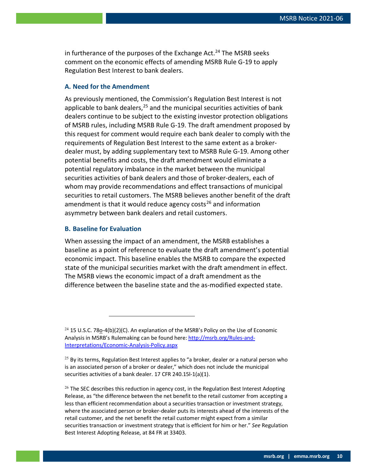in furtherance of the purposes of the Exchange Act. $24$  The MSRB seeks comment on the economic effects of amending MSRB Rule G-19 to apply Regulation Best Interest to bank dealers.

#### **A. Need for the Amendment**

As previously mentioned, the Commission's Regulation Best Interest is not applicable to bank dealers,  $25$  and the municipal securities activities of bank dealers continue to be subject to the existing investor protection obligations of MSRB rules, including MSRB Rule G-19. The draft amendment proposed by this request for comment would require each bank dealer to comply with the requirements of Regulation Best Interest to the same extent as a brokerdealer must, by adding supplementary text to MSRB Rule G-19. Among other potential benefits and costs, the draft amendment would eliminate a potential regulatory imbalance in the market between the municipal securities activities of bank dealers and those of broker-dealers, each of whom may provide recommendations and effect transactions of municipal securities to retail customers. The MSRB believes another benefit of the draft amendment is that it would reduce agency costs<sup>[26](#page-9-2)</sup> and information asymmetry between bank dealers and retail customers.

#### **B. Baseline for Evaluation**

When assessing the impact of an amendment, the MSRB establishes a baseline as a point of reference to evaluate the draft amendment's potential economic impact. This baseline enables the MSRB to compare the expected state of the municipal securities market with the draft amendment in effect. The MSRB views the economic impact of a draft amendment as the difference between the baseline state and the as-modified expected state.

<span id="page-9-0"></span><sup>&</sup>lt;sup>24</sup> 15 U.S.C. 78o-4(b)(2)(C). An explanation of the MSRB's Policy on the Use of Economic Analysis in MSRB's Rulemaking can be found here: [http://msrb.org/Rules-and-](http://msrb.org/Rules-and-Interpretations/Economic-Analysis-Policy.aspx)[Interpretations/Economic-Analysis-Policy.aspx](http://msrb.org/Rules-and-Interpretations/Economic-Analysis-Policy.aspx)

<span id="page-9-1"></span> $25$  By its terms, Regulation Best Interest applies to "a broker, dealer or a natural person who is an associated person of a broker or dealer," which does not include the municipal securities activities of a bank dealer. 17 CFR 240.15l-1(a)(1).

<span id="page-9-2"></span> $26$  The SEC describes this reduction in agency cost, in the Regulation Best Interest Adopting Release, as "the difference between the net benefit to the retail customer from accepting a less than efficient recommendation about a securities transaction or investment strategy, where the associated person or broker-dealer puts its interests ahead of the interests of the retail customer, and the net benefit the retail customer might expect from a similar securities transaction or investment strategy that is efficient for him or her." *See* Regulation Best Interest Adopting Release, at 84 FR at 33403.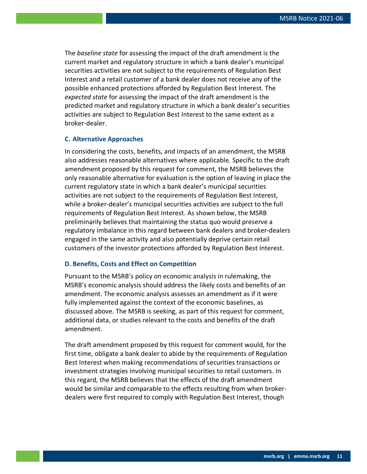The *baseline state* for assessing the impact of the draft amendment is the current market and regulatory structure in which a bank dealer's municipal securities activities are not subject to the requirements of Regulation Best Interest and a retail customer of a bank dealer does not receive any of the possible enhanced protections afforded by Regulation Best Interest. The *expected state* for assessing the impact of the draft amendment is the predicted market and regulatory structure in which a bank dealer's securities activities are subject to Regulation Best Interest to the same extent as a broker-dealer.

#### **C. Alternative Approaches**

In considering the costs, benefits, and impacts of an amendment, the MSRB also addresses reasonable alternatives where applicable*.* Specific to the draft amendment proposed by this request for comment, the MSRB believes the only reasonable alternative for evaluation is the option of leaving in place the current regulatory state in which a bank dealer's municipal securities activities are not subject to the requirements of Regulation Best Interest, while a broker-dealer's municipal securities activities are subject to the full requirements of Regulation Best Interest. As shown below, the MSRB preliminarily believes that maintaining the status quo would preserve a regulatory imbalance in this regard between bank dealers and broker-dealers engaged in the same activity and also potentially deprive certain retail customers of the investor protections afforded by Regulation Best Interest.

#### **D. Benefits, Costs and Effect on Competition**

Pursuant to the MSRB's policy on economic analysis in rulemaking, the MSRB's economic analysis should address the likely costs and benefits of an amendment. The economic analysis assesses an amendment as if it were fully implemented against the context of the economic baselines, as discussed above. The MSRB is seeking, as part of this request for comment, additional data, or studies relevant to the costs and benefits of the draft amendment.

The draft amendment proposed by this request for comment would, for the first time, obligate a bank dealer to abide by the requirements of Regulation Best Interest when making recommendations of securities transactions or investment strategies involving municipal securities to retail customers. In this regard, the MSRB believes that the effects of the draft amendment would be similar and comparable to the effects resulting from when brokerdealers were first required to comply with Regulation Best Interest, though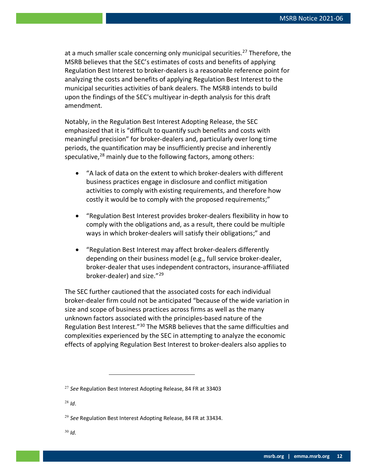at a much smaller scale concerning only municipal securities.<sup>[27](#page-11-0)</sup> Therefore, the MSRB believes that the SEC's estimates of costs and benefits of applying Regulation Best Interest to broker-dealers is a reasonable reference point for analyzing the costs and benefits of applying Regulation Best Interest to the municipal securities activities of bank dealers. The MSRB intends to build upon the findings of the SEC's multiyear in-depth analysis for this draft amendment.

Notably, in the Regulation Best Interest Adopting Release, the SEC emphasized that it is "difficult to quantify such benefits and costs with meaningful precision" for broker-dealers and, particularly over long time periods, the quantification may be insufficiently precise and inherently speculative, $28$  mainly due to the following factors, among others:

- "A lack of data on the extent to which broker-dealers with different business practices engage in disclosure and conflict mitigation activities to comply with existing requirements, and therefore how costly it would be to comply with the proposed requirements;"
- "Regulation Best Interest provides broker-dealers flexibility in how to comply with the obligations and, as a result, there could be multiple ways in which broker-dealers will satisfy their obligations;" and
- "Regulation Best Interest may affect broker-dealers differently depending on their business model (e.g., full service broker-dealer, broker-dealer that uses independent contractors, insurance-affiliated broker-dealer) and size."[29](#page-11-2)

The SEC further cautioned that the associated costs for each individual broker-dealer firm could not be anticipated "because of the wide variation in size and scope of business practices across firms as well as the many unknown factors associated with the principles-based nature of the Regulation Best Interest."[30](#page-11-3) The MSRB believes that the same difficulties and complexities experienced by the SEC in attempting to analyze the economic effects of applying Regulation Best Interest to broker-dealers also applies to

<span id="page-11-1"></span><sup>28</sup> *Id*.

<span id="page-11-0"></span><sup>27</sup> *See* Regulation Best Interest Adopting Release, 84 FR at 33403

<span id="page-11-2"></span><sup>29</sup> *See* Regulation Best Interest Adopting Release, 84 FR at 33434.

<span id="page-11-3"></span><sup>30</sup> *Id.*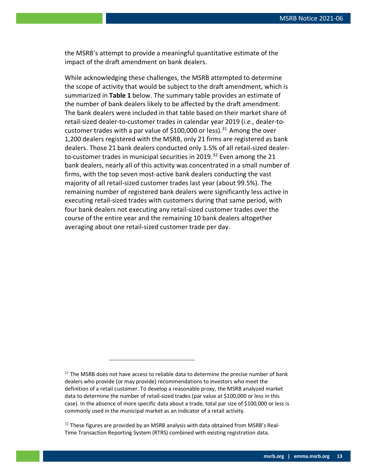the MSRB's attempt to provide a meaningful quantitative estimate of the impact of the draft amendment on bank dealers.

While acknowledging these challenges, the MSRB attempted to determine the scope of activity that would be subject to the draft amendment, which is summarized in **Table 1** below. The summary table provides an estimate of the number of bank dealers likely to be affected by the draft amendment. The bank dealers were included in that table based on their market share of retail-sized dealer-to-customer trades in calendar year 2019 (*i.e.*, dealer-to-customer trades with a par value of \$100,000 or less).<sup>[31](#page-12-0)</sup> Among the over 1,200 dealers registered with the MSRB, only 21 firms are registered as bank dealers. Those 21 bank dealers conducted only 1.5% of all retail-sized dealer-to-customer trades in municipal securities in 2019.<sup>[32](#page-12-1)</sup> Even among the 21 bank dealers, nearly all of this activity was concentrated in a small number of firms, with the top seven most-active bank dealers conducting the vast majority of all retail-sized customer trades last year (about 99.5%). The remaining number of registered bank dealers were significantly less active in executing retail-sized trades with customers during that same period, with four bank dealers not executing any retail-sized customer trades over the course of the entire year and the remaining 10 bank dealers altogether averaging about one retail-sized customer trade per day.

<span id="page-12-0"></span> $31$  The MSRB does not have access to reliable data to determine the precise number of bank dealers who provide (or may provide) recommendations to investors who meet the definition of a retail customer. To develop a reasonable proxy, the MSRB analyzed market data to determine the number of retail-sized trades (par value at \$100,000 or less in this case). In the absence of more specific data about a trade, total par size of \$100,000 or less is commonly used in the municipal market as an indicator of a retail activity.

<span id="page-12-1"></span> $32$  These figures are provided by an MSRB analysis with data obtained from MSRB's Real-Time Transaction Reporting System (RTRS) combined with existing registration data.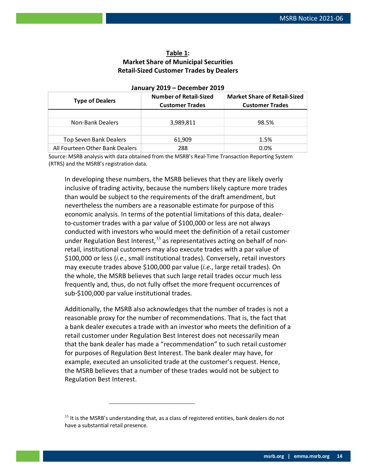#### **Table 1: Market Share of Municipal Securities Retail-Sized Customer Trades by Dealers**

| <b>Type of Dealers</b>          | <b>Number of Retail-Sized</b><br><b>Customer Trades</b> | <b>Market Share of Retail-Sized</b><br><b>Customer Trades</b> |
|---------------------------------|---------------------------------------------------------|---------------------------------------------------------------|
|                                 |                                                         |                                                               |
| Non-Bank Dealers                | 3,989,811                                               | 98.5%                                                         |
|                                 |                                                         |                                                               |
| Top Seven Bank Dealers          | 61,909                                                  | 1.5%                                                          |
| All Fourteen Other Bank Dealers | 288                                                     | 0.0%                                                          |

#### **January 2019 – December 2019**

Source: MSRB analysis with data obtained from the MSRB's Real-Time Transaction Reporting System (RTRS) and the MSRB's registration data.

In developing these numbers, the MSRB believes that they are likely overly inclusive of trading activity, because the numbers likely capture more trades than would be subject to the requirements of the draft amendment, but nevertheless the numbers are a reasonable estimate for purpose of this economic analysis. In terms of the potential limitations of this data, dealerto-customer trades with a par value of \$100,000 or less are not always conducted with investors who would meet the definition of a retail customer under Regulation Best Interest,<sup>[33](#page-13-0)</sup> as representatives acting on behalf of nonretail, institutional customers may also execute trades with a par value of \$100,000 or less (*i.e.*, small institutional trades). Conversely, retail investors may execute trades above \$100,000 par value (*i.e.*, large retail trades). On the whole, the MSRB believes that such large retail trades occur much less frequently and, thus, do not fully offset the more frequent occurrences of sub-\$100,000 par value institutional trades.

Additionally, the MSRB also acknowledges that the number of trades is not a reasonable proxy for the number of recommendations. That is, the fact that a bank dealer executes a trade with an investor who meets the definition of a retail customer under Regulation Best Interest does not necessarily mean that the bank dealer has made a "recommendation" to such retail customer for purposes of Regulation Best Interest. The bank dealer may have, for example, executed an unsolicited trade at the customer's request. Hence, the MSRB believes that a number of these trades would not be subject to Regulation Best Interest.

<span id="page-13-0"></span> $33$  It is the MSRB's understanding that, as a class of registered entities, bank dealers do not have a substantial retail presence.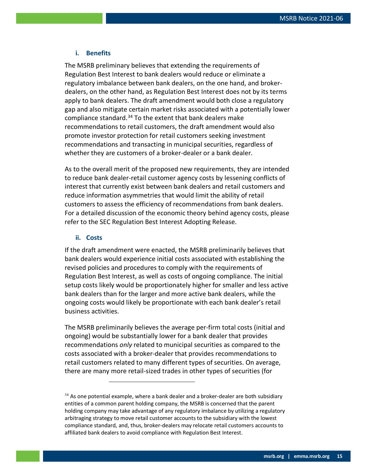#### **i. Benefits**

The MSRB preliminary believes that extending the requirements of Regulation Best Interest to bank dealers would reduce or eliminate a regulatory imbalance between bank dealers, on the one hand, and brokerdealers, on the other hand, as Regulation Best Interest does not by its terms apply to bank dealers. The draft amendment would both close a regulatory gap and also mitigate certain market risks associated with a potentially lower compliance standard.<sup>[34](#page-14-0)</sup> To the extent that bank dealers make recommendations to retail customers, the draft amendment would also promote investor protection for retail customers seeking investment recommendations and transacting in municipal securities, regardless of whether they are customers of a broker-dealer or a bank dealer.

As to the overall merit of the proposed new requirements, they are intended to reduce bank dealer-retail customer agency costs by lessening conflicts of interest that currently exist between bank dealers and retail customers and reduce information asymmetries that would limit the ability of retail customers to assess the efficiency of recommendations from bank dealers. For a detailed discussion of the economic theory behind agency costs, please refer to the SEC Regulation Best Interest Adopting Release.

#### **ii. Costs**

If the draft amendment were enacted, the MSRB preliminarily believes that bank dealers would experience initial costs associated with establishing the revised policies and procedures to comply with the requirements of Regulation Best Interest, as well as costs of ongoing compliance. The initial setup costs likely would be proportionately higher for smaller and less active bank dealers than for the larger and more active bank dealers, while the ongoing costs would likely be proportionate with each bank dealer's retail business activities.

The MSRB preliminarily believes the average per-firm total costs (initial and ongoing) would be substantially lower for a bank dealer that provides recommendations *only* related to municipal securities as compared to the costs associated with a broker-dealer that provides recommendations to retail customers related to many different types of securities. On average, there are many more retail-sized trades in other types of securities (for

<span id="page-14-0"></span> $34$  As one potential example, where a bank dealer and a broker-dealer are both subsidiary entities of a common parent holding company, the MSRB is concerned that the parent holding company may take advantage of any regulatory imbalance by utilizing a regulatory arbitraging strategy to move retail customer accounts to the subsidiary with the lowest compliance standard, and, thus, broker-dealers may relocate retail customers accounts to affiliated bank dealers to avoid compliance with Regulation Best Interest.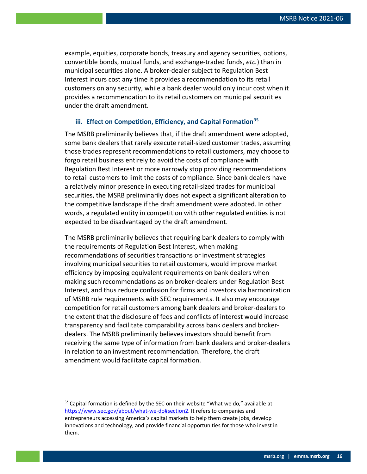example, equities, corporate bonds, treasury and agency securities, options, convertible bonds, mutual funds, and exchange-traded funds, *etc.*) than in municipal securities alone. A broker-dealer subject to Regulation Best Interest incurs cost any time it provides a recommendation to its retail customers on any security, while a bank dealer would only incur cost when it provides a recommendation to its retail customers on municipal securities under the draft amendment.

#### **iii. Effect on Competition, Efficiency, and Capital Formation[35](#page-15-0)**

The MSRB preliminarily believes that, if the draft amendment were adopted, some bank dealers that rarely execute retail-sized customer trades, assuming those trades represent recommendations to retail customers, may choose to forgo retail business entirely to avoid the costs of compliance with Regulation Best Interest or more narrowly stop providing recommendations to retail customers to limit the costs of compliance. Since bank dealers have a relatively minor presence in executing retail-sized trades for municipal securities, the MSRB preliminarily does not expect a significant alteration to the competitive landscape if the draft amendment were adopted. In other words, a regulated entity in competition with other regulated entities is not expected to be disadvantaged by the draft amendment.

The MSRB preliminarily believes that requiring bank dealers to comply with the requirements of Regulation Best Interest, when making recommendations of securities transactions or investment strategies involving municipal securities to retail customers, would improve market efficiency by imposing equivalent requirements on bank dealers when making such recommendations as on broker-dealers under Regulation Best Interest, and thus reduce confusion for firms and investors via harmonization of MSRB rule requirements with SEC requirements. It also may encourage competition for retail customers among bank dealers and broker-dealers to the extent that the disclosure of fees and conflicts of interest would increase transparency and facilitate comparability across bank dealers and brokerdealers. The MSRB preliminarily believes investors should benefit from receiving the same type of information from bank dealers and broker-dealers in relation to an investment recommendation. Therefore, the draft amendment would facilitate capital formation.

<span id="page-15-0"></span> $35$  Capital formation is defined by the SEC on their website "What we do," available at [https://www.sec.gov/about/what-we-do#section2.](https://www.sec.gov/about/what-we-do#section2) It refers to companies and entrepreneurs accessing America's capital markets to help them create jobs, develop innovations and technology, and provide financial opportunities for those who invest in them.